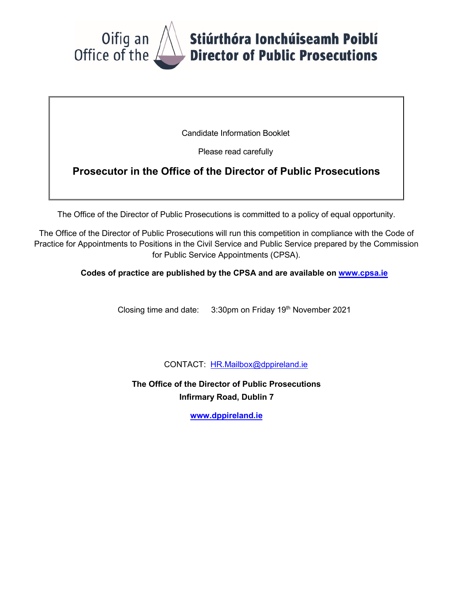

Candidate Information Booklet

Please read carefully

# **Prosecutor in the Office of the Director of Public Prosecutions**

The Office of the Director of Public Prosecutions is committed to a policy of equal opportunity.

The Office of the Director of Public Prosecutions will run this competition in compliance with the Code of Practice for Appointments to Positions in the Civil Service and Public Service prepared by the Commission for Public Service Appointments (CPSA).

**Codes of practice are published by the CPSA and are available on [www.cpsa.ie](http://www.cpsa.ie/)**

Closing time and date: 3:30pm on Friday 19<sup>th</sup> November 2021

CONTACT: [HR.Mailbox@dppireland.ie](mailto:Prosecutor2018@dppireland.ie)

**The Office of the Director of Public Prosecutions Infirmary Road, Dublin 7**

**[www.dppireland.ie](http://www.dppireland.ie/)**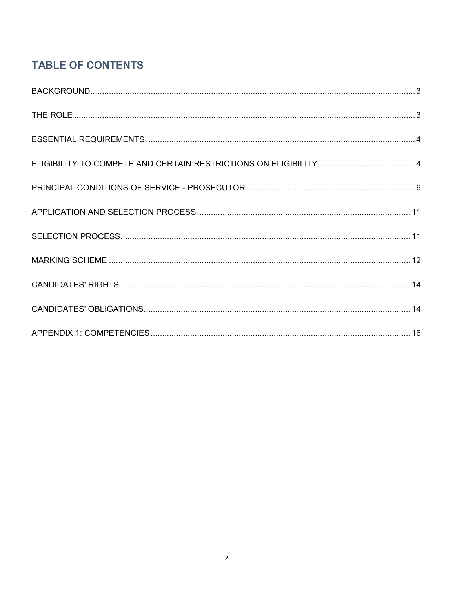# **TABLE OF CONTENTS**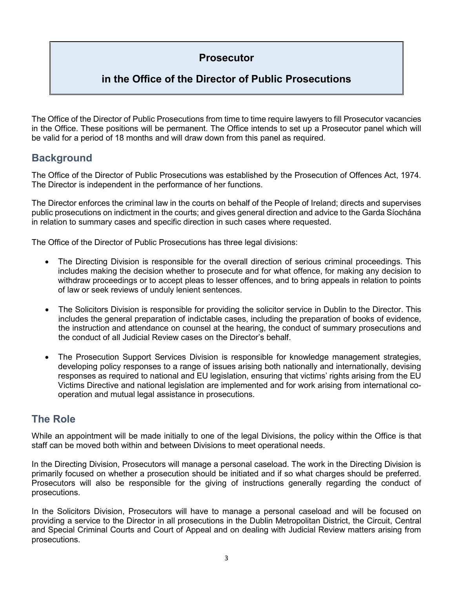# **Prosecutor**

# **in the Office of the Director of Public Prosecutions**

The Office of the Director of Public Prosecutions from time to time require lawyers to fill Prosecutor vacancies in the Office. These positions will be permanent. The Office intends to set up a Prosecutor panel which will be valid for a period of 18 months and will draw down from this panel as required.

# <span id="page-2-0"></span>**Background**

The Office of the Director of Public Prosecutions was established by the Prosecution of Offences Act, 1974. The Director is independent in the performance of her functions.

The Director enforces the criminal law in the courts on behalf of the People of Ireland; directs and supervises public prosecutions on indictment in the courts; and gives general direction and advice to the Garda Síochána in relation to summary cases and specific direction in such cases where requested.

The Office of the Director of Public Prosecutions has three legal divisions:

- The Directing Division is responsible for the overall direction of serious criminal proceedings. This includes making the decision whether to prosecute and for what offence, for making any decision to withdraw proceedings or to accept pleas to lesser offences, and to bring appeals in relation to points of law or seek reviews of unduly lenient sentences.
- The Solicitors Division is responsible for providing the solicitor service in Dublin to the Director. This includes the general preparation of indictable cases, including the preparation of books of evidence, the instruction and attendance on counsel at the hearing, the conduct of summary prosecutions and the conduct of all Judicial Review cases on the Director's behalf.
- The Prosecution Support Services Division is responsible for knowledge management strategies, developing policy responses to a range of issues arising both nationally and internationally, devising responses as required to national and EU legislation, ensuring that victims' rights arising from the EU Victims Directive and national legislation are implemented and for work arising from international cooperation and mutual legal assistance in prosecutions.

# <span id="page-2-1"></span>**The Role**

While an appointment will be made initially to one of the legal Divisions, the policy within the Office is that staff can be moved both within and between Divisions to meet operational needs.

In the Directing Division, Prosecutors will manage a personal caseload. The work in the Directing Division is primarily focused on whether a prosecution should be initiated and if so what charges should be preferred. Prosecutors will also be responsible for the giving of instructions generally regarding the conduct of prosecutions.

In the Solicitors Division, Prosecutors will have to manage a personal caseload and will be focused on providing a service to the Director in all prosecutions in the Dublin Metropolitan District, the Circuit, Central and Special Criminal Courts and Court of Appeal and on dealing with Judicial Review matters arising from prosecutions.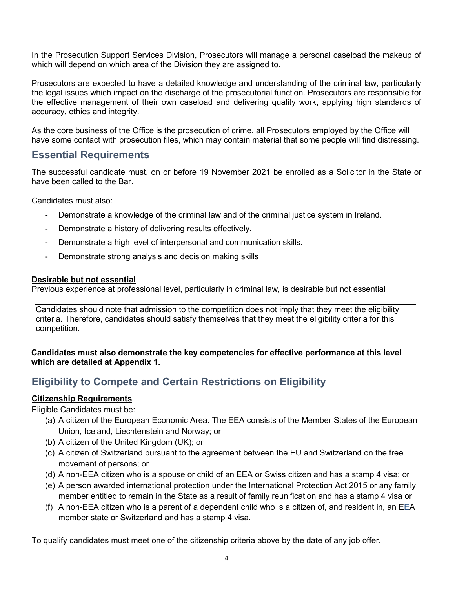In the Prosecution Support Services Division, Prosecutors will manage a personal caseload the makeup of which will depend on which area of the Division they are assigned to.

Prosecutors are expected to have a detailed knowledge and understanding of the criminal law, particularly the legal issues which impact on the discharge of the prosecutorial function. Prosecutors are responsible for the effective management of their own caseload and delivering quality work, applying high standards of accuracy, ethics and integrity.

As the core business of the Office is the prosecution of crime, all Prosecutors employed by the Office will have some contact with prosecution files, which may contain material that some people will find distressing.

## <span id="page-3-0"></span>**Essential Requirements**

The successful candidate must, on or before 19 November 2021 be enrolled as a Solicitor in the State or have been called to the Bar.

Candidates must also:

- Demonstrate a knowledge of the criminal law and of the criminal justice system in Ireland.
- Demonstrate a history of delivering results effectively.
- Demonstrate a high level of interpersonal and communication skills.
- Demonstrate strong analysis and decision making skills

## **Desirable but not essential**

Previous experience at professional level, particularly in criminal law, is desirable but not essential

Candidates should note that admission to the competition does not imply that they meet the eligibility criteria. Therefore, candidates should satisfy themselves that they meet the eligibility criteria for this competition.

**Candidates must also demonstrate the key competencies for effective performance at this level which are detailed at Appendix 1.** 

# <span id="page-3-1"></span>**Eligibility to Compete and Certain Restrictions on Eligibility**

## **Citizenship Requirements**

Eligible Candidates must be:

- (a) A citizen of the European Economic Area. The EEA consists of the Member States of the European Union, Iceland, Liechtenstein and Norway; or
- (b) A citizen of the United Kingdom (UK); or
- (c) A citizen of Switzerland pursuant to the agreement between the EU and Switzerland on the free movement of persons; or
- (d) A non-EEA citizen who is a spouse or child of an EEA or Swiss citizen and has a stamp 4 visa; or
- (e) A person awarded international protection under the International Protection Act 2015 or any family member entitled to remain in the State as a result of family reunification and has a stamp 4 visa or
- (f) A non-EEA citizen who is a parent of a dependent child who is a citizen of, and resident in, an EEA member state or Switzerland and has a stamp 4 visa.

To qualify candidates must meet one of the citizenship criteria above by the date of any job offer.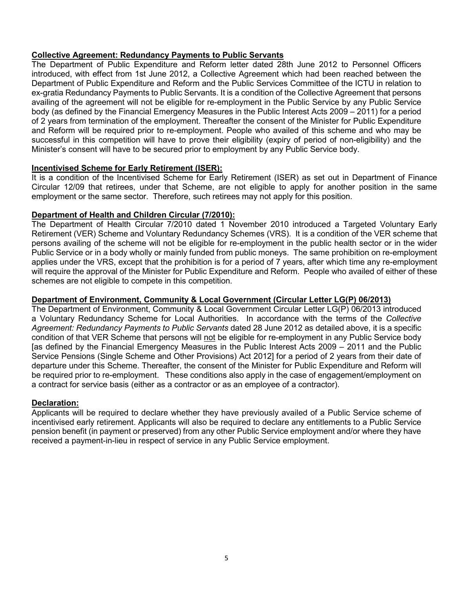## **Collective Agreement: Redundancy Payments to Public Servants**

The Department of Public Expenditure and Reform letter dated 28th June 2012 to Personnel Officers introduced, with effect from 1st June 2012, a Collective Agreement which had been reached between the Department of Public Expenditure and Reform and the Public Services Committee of the ICTU in relation to ex-gratia Redundancy Payments to Public Servants. It is a condition of the Collective Agreement that persons availing of the agreement will not be eligible for re-employment in the Public Service by any Public Service body (as defined by the Financial Emergency Measures in the Public Interest Acts 2009 – 2011) for a period of 2 years from termination of the employment. Thereafter the consent of the Minister for Public Expenditure and Reform will be required prior to re-employment. People who availed of this scheme and who may be successful in this competition will have to prove their eligibility (expiry of period of non-eligibility) and the Minister's consent will have to be secured prior to employment by any Public Service body.

## **Incentivised Scheme for Early Retirement (ISER):**

It is a condition of the Incentivised Scheme for Early Retirement (ISER) as set out in Department of Finance Circular 12/09 that retirees, under that Scheme, are not eligible to apply for another position in the same employment or the same sector. Therefore, such retirees may not apply for this position.

### **Department of Health and Children Circular (7/2010):**

The Department of Health Circular 7/2010 dated 1 November 2010 introduced a Targeted Voluntary Early Retirement (VER) Scheme and Voluntary Redundancy Schemes (VRS). It is a condition of the VER scheme that persons availing of the scheme will not be eligible for re-employment in the public health sector or in the wider Public Service or in a body wholly or mainly funded from public moneys. The same prohibition on re-employment applies under the VRS, except that the prohibition is for a period of 7 years, after which time any re-employment will require the approval of the Minister for Public Expenditure and Reform. People who availed of either of these schemes are not eligible to compete in this competition*.* 

## **Department of Environment, Community & Local Government (Circular Letter LG(P) 06/2013)**

The Department of Environment, Community & Local Government Circular Letter LG(P) 06/2013 introduced a Voluntary Redundancy Scheme for Local Authorities. In accordance with the terms of the *Collective Agreement: Redundancy Payments to Public Servants* dated 28 June 2012 as detailed above, it is a specific condition of that VER Scheme that persons will not be eligible for re-employment in any Public Service body [as defined by the Financial Emergency Measures in the Public Interest Acts 2009 – 2011 and the Public Service Pensions (Single Scheme and Other Provisions) Act 2012] for a period of 2 years from their date of departure under this Scheme. Thereafter, the consent of the Minister for Public Expenditure and Reform will be required prior to re-employment. These conditions also apply in the case of engagement/employment on a contract for service basis (either as a contractor or as an employee of a contractor).

## **Declaration:**

Applicants will be required to declare whether they have previously availed of a Public Service scheme of incentivised early retirement. Applicants will also be required to declare any entitlements to a Public Service pension benefit (in payment or preserved) from any other Public Service employment and/or where they have received a payment-in-lieu in respect of service in any Public Service employment.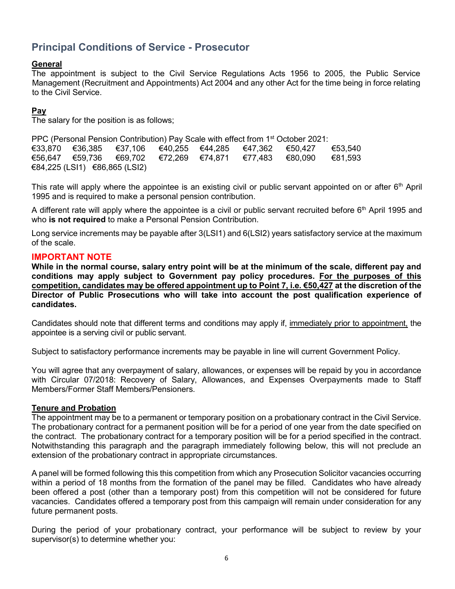# <span id="page-5-0"></span>**Principal Conditions of Service - Prosecutor**

## **General**

The appointment is subject to the Civil Service Regulations Acts 1956 to 2005, the Public Service Management (Recruitment and Appointments) Act 2004 and any other Act for the time being in force relating to the Civil Service.

## **Pay**

The salary for the position is as follows;

PPC (Personal Pension Contribution) Pay Scale with effect from 1<sup>st</sup> October 2021:<br>€33.870 €36.385 €37.106 €40.255 €44.285 €47.362 €50.427 €33,870 €36,385 €37,106 €40,255 €44,285 €47,362 €50,427 €53,540 €56,647 €59,736 €69,702 €72,269 €74,871 €77,483 €80,090 €81,593 €84,225 (LSI1) €86,865 (LSI2)

This rate will apply where the appointee is an existing civil or public servant appointed on or after  $6<sup>th</sup>$  April 1995 and is required to make a personal pension contribution.

A different rate will apply where the appointee is a civil or public servant recruited before 6<sup>th</sup> April 1995 and who **is not required** to make a Personal Pension Contribution.

Long service increments may be payable after 3(LSI1) and 6(LSI2) years satisfactory service at the maximum of the scale.

## **IMPORTANT NOTE**

**While in the normal course, salary entry point will be at the minimum of the scale, different pay and conditions may apply subject to Government pay policy procedures. For the purposes of this competition, candidates may be offered appointment up to Point 7, i.e. €50,427 at the discretion of the Director of Public Prosecutions who will take into account the post qualification experience of candidates.** 

Candidates should note that different terms and conditions may apply if, immediately prior to appointment, the appointee is a serving civil or public servant.

Subject to satisfactory performance increments may be payable in line will current Government Policy.

You will agree that any overpayment of salary, allowances, or expenses will be repaid by you in accordance with Circular 07/2018: Recovery of Salary, Allowances, and Expenses Overpayments made to Staff Members/Former Staff Members/Pensioners.

### **Tenure and Probation**

The appointment may be to a permanent or temporary position on a probationary contract in the Civil Service. The probationary contract for a permanent position will be for a period of one year from the date specified on the contract. The probationary contract for a temporary position will be for a period specified in the contract. Notwithstanding this paragraph and the paragraph immediately following below, this will not preclude an extension of the probationary contract in appropriate circumstances.

A panel will be formed following this this competition from which any Prosecution Solicitor vacancies occurring within a period of 18 months from the formation of the panel may be filled. Candidates who have already been offered a post (other than a temporary post) from this competition will not be considered for future vacancies. Candidates offered a temporary post from this campaign will remain under consideration for any future permanent posts.

During the period of your probationary contract, your performance will be subject to review by your supervisor(s) to determine whether you: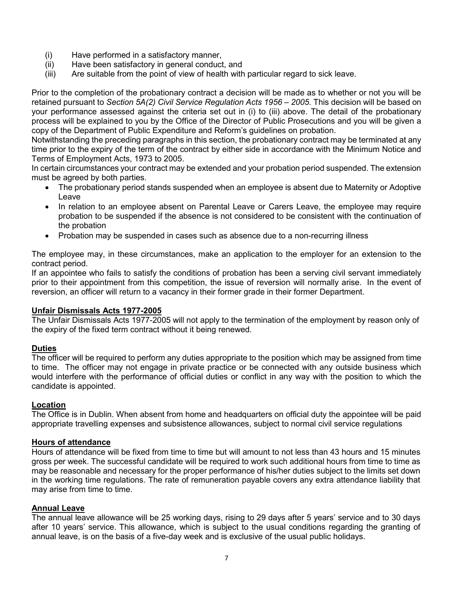- (i) Have performed in a satisfactory manner,
- (ii) Have been satisfactory in general conduct, and
- (iii) Are suitable from the point of view of health with particular regard to sick leave.

Prior to the completion of the probationary contract a decision will be made as to whether or not you will be retained pursuant to *Section 5A(2) Civil Service Regulation Acts 1956 – 2005*. This decision will be based on your performance assessed against the criteria set out in (i) to (iii) above. The detail of the probationary process will be explained to you by the Office of the Director of Public Prosecutions and you will be given a copy of the Department of Public Expenditure and Reform's guidelines on probation.

Notwithstanding the preceding paragraphs in this section, the probationary contract may be terminated at any time prior to the expiry of the term of the contract by either side in accordance with the Minimum Notice and Terms of Employment Acts, 1973 to 2005.

In certain circumstances your contract may be extended and your probation period suspended. The extension must be agreed by both parties.

- The probationary period stands suspended when an employee is absent due to Maternity or Adoptive Leave
- In relation to an employee absent on Parental Leave or Carers Leave, the employee may require probation to be suspended if the absence is not considered to be consistent with the continuation of the probation
- Probation may be suspended in cases such as absence due to a non-recurring illness

The employee may, in these circumstances, make an application to the employer for an extension to the contract period.

If an appointee who fails to satisfy the conditions of probation has been a serving civil servant immediately prior to their appointment from this competition, the issue of reversion will normally arise. In the event of reversion, an officer will return to a vacancy in their former grade in their former Department.

#### **Unfair Dismissals Acts 1977-2005**

The Unfair Dismissals Acts 1977-2005 will not apply to the termination of the employment by reason only of the expiry of the fixed term contract without it being renewed.

#### **Duties**

The officer will be required to perform any duties appropriate to the position which may be assigned from time to time. The officer may not engage in private practice or be connected with any outside business which would interfere with the performance of official duties or conflict in any way with the position to which the candidate is appointed.

#### **Location**

The Office is in Dublin. When absent from home and headquarters on official duty the appointee will be paid appropriate travelling expenses and subsistence allowances, subject to normal civil service regulations

#### **Hours of attendance**

Hours of attendance will be fixed from time to time but will amount to not less than 43 hours and 15 minutes gross per week. The successful candidate will be required to work such additional hours from time to time as may be reasonable and necessary for the proper performance of his/her duties subject to the limits set down in the working time regulations. The rate of remuneration payable covers any extra attendance liability that may arise from time to time.

#### **Annual Leave**

The annual leave allowance will be 25 working days, rising to 29 days after 5 years' service and to 30 days after 10 years' service. This allowance, which is subject to the usual conditions regarding the granting of annual leave, is on the basis of a five-day week and is exclusive of the usual public holidays.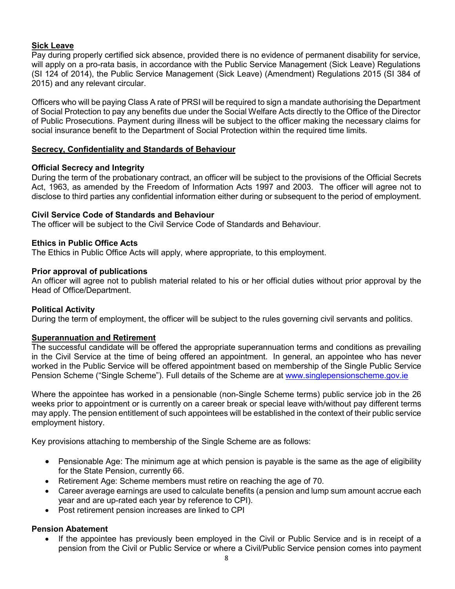## **Sick Leave**

Pay during properly certified sick absence, provided there is no evidence of permanent disability for service, will apply on a pro-rata basis, in accordance with the Public Service Management (Sick Leave) Regulations (SI 124 of 2014), the Public Service Management (Sick Leave) (Amendment) Regulations 2015 (SI 384 of 2015) and any relevant circular.

Officers who will be paying Class A rate of PRSI will be required to sign a mandate authorising the Department of Social Protection to pay any benefits due under the Social Welfare Acts directly to the Office of the Director of Public Prosecutions. Payment during illness will be subject to the officer making the necessary claims for social insurance benefit to the Department of Social Protection within the required time limits.

### **Secrecy, Confidentiality and Standards of Behaviour**

### **Official Secrecy and Integrity**

During the term of the probationary contract, an officer will be subject to the provisions of the Official Secrets Act, 1963, as amended by the Freedom of Information Acts 1997 and 2003. The officer will agree not to disclose to third parties any confidential information either during or subsequent to the period of employment.

### **Civil Service Code of Standards and Behaviour**

The officer will be subject to the Civil Service Code of Standards and Behaviour.

### **Ethics in Public Office Acts**

The Ethics in Public Office Acts will apply, where appropriate, to this employment.

### **Prior approval of publications**

An officer will agree not to publish material related to his or her official duties without prior approval by the Head of Office/Department.

### **Political Activity**

During the term of employment, the officer will be subject to the rules governing civil servants and politics.

### **Superannuation and Retirement**

The successful candidate will be offered the appropriate superannuation terms and conditions as prevailing in the Civil Service at the time of being offered an appointment. In general, an appointee who has never worked in the Public Service will be offered appointment based on membership of the Single Public Service Pension Scheme ("Single Scheme"). Full details of the Scheme are at [www.singlepensionscheme.gov.ie](http://www.singlepensionscheme.gov.ie/)

Where the appointee has worked in a pensionable (non-Single Scheme terms) public service job in the 26 weeks prior to appointment or is currently on a career break or special leave with/without pay different terms may apply. The pension entitlement of such appointees will be established in the context of their public service employment history.

Key provisions attaching to membership of the Single Scheme are as follows:

- Pensionable Age: The minimum age at which pension is payable is the same as the age of eligibility for the State Pension, currently 66.
- Retirement Age: Scheme members must retire on reaching the age of 70.
- Career average earnings are used to calculate benefits (a pension and lump sum amount accrue each year and are up-rated each year by reference to CPI).
- Post retirement pension increases are linked to CPI

## **Pension Abatement**

• If the appointee has previously been employed in the Civil or Public Service and is in receipt of a pension from the Civil or Public Service or where a Civil/Public Service pension comes into payment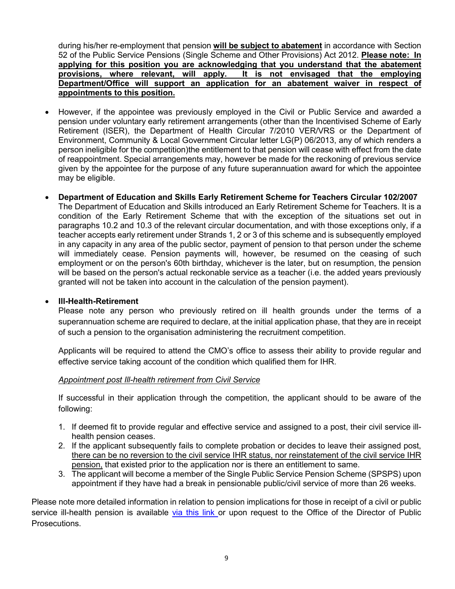during his/her re-employment that pension **will be subject to abatement** in accordance with Section 52 of the Public Service Pensions (Single Scheme and Other Provisions) Act 2012. **Please note: In applying for this position you are acknowledging that you understand that the abatement**  It is not envisaged that the employing **Department/Office will support an application for an abatement waiver in respect of appointments to this position.**

- However, if the appointee was previously employed in the Civil or Public Service and awarded a pension under voluntary early retirement arrangements (other than the Incentivised Scheme of Early Retirement (ISER), the Department of Health Circular 7/2010 VER/VRS or the Department of Environment, Community & Local Government Circular letter LG(P) 06/2013, any of which renders a person ineligible for the competition)the entitlement to that pension will cease with effect from the date of reappointment. Special arrangements may, however be made for the reckoning of previous service given by the appointee for the purpose of any future superannuation award for which the appointee may be eligible.
- **Department of Education and Skills Early Retirement Scheme for Teachers Circular 102/2007** The Department of Education and Skills introduced an Early Retirement Scheme for Teachers. It is a condition of the Early Retirement Scheme that with the exception of the situations set out in paragraphs 10.2 and 10.3 of the relevant circular documentation, and with those exceptions only, if a teacher accepts early retirement under Strands 1, 2 or 3 of this scheme and is subsequently employed in any capacity in any area of the public sector, payment of pension to that person under the scheme will immediately cease. Pension payments will, however, be resumed on the ceasing of such employment or on the person's 60th birthday, whichever is the later, but on resumption, the pension will be based on the person's actual reckonable service as a teacher (i.e. the added years previously granted will not be taken into account in the calculation of the pension payment).

### • **Ill-Health-Retirement**

Please note any person who previously retired on ill health grounds under the terms of a superannuation scheme are required to declare, at the initial application phase, that they are in receipt of such a pension to the organisation administering the recruitment competition.

Applicants will be required to attend the CMO's office to assess their ability to provide regular and effective service taking account of the condition which qualified them for IHR.

### *Appointment post Ill-health retirement from Civil Service*

If successful in their application through the competition, the applicant should to be aware of the following:

- 1. If deemed fit to provide regular and effective service and assigned to a post, their civil service illhealth pension ceases.
- 2. If the applicant subsequently fails to complete probation or decides to leave their assigned post, there can be no reversion to the civil service IHR status, nor reinstatement of the civil service IHR pension, that existed prior to the application nor is there an entitlement to same.
- 3. The applicant will become a member of the Single Public Service Pension Scheme (SPSPS) upon appointment if they have had a break in pensionable public/civil service of more than 26 weeks.

Please note more detailed information in relation to pension implications for those in receipt of a civil or public service ill-health pension is available [via this link](https://hr.per.gov.ie/wp-content/uploads/2020/06/Ill-Health-Retirement-linked-document.pdf) or upon request to the Office of the Director of Public Prosecutions.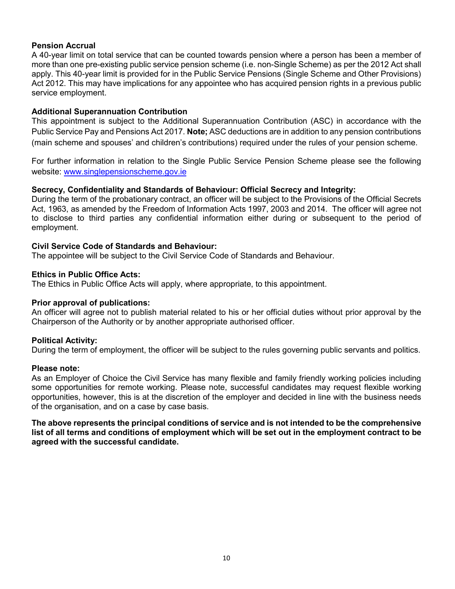## **Pension Accrual**

A 40-year limit on total service that can be counted towards pension where a person has been a member of more than one pre-existing public service pension scheme (i.e. non-Single Scheme) as per the 2012 Act shall apply. This 40-year limit is provided for in the Public Service Pensions (Single Scheme and Other Provisions) Act 2012. This may have implications for any appointee who has acquired pension rights in a previous public service employment.

#### **Additional Superannuation Contribution**

This appointment is subject to the Additional Superannuation Contribution (ASC) in accordance with the Public Service Pay and Pensions Act 2017. **Note;** ASC deductions are in addition to any pension contributions (main scheme and spouses' and children's contributions) required under the rules of your pension scheme.

For further information in relation to the Single Public Service Pension Scheme please see the following website: [www.singlepensionscheme.gov.ie](http://www.singlepensionscheme.gov.ie/)

### **Secrecy, Confidentiality and Standards of Behaviour: Official Secrecy and Integrity:**

During the term of the probationary contract, an officer will be subject to the Provisions of the Official Secrets Act, 1963, as amended by the Freedom of Information Acts 1997, 2003 and 2014. The officer will agree not to disclose to third parties any confidential information either during or subsequent to the period of employment.

#### **Civil Service Code of Standards and Behaviour:**

The appointee will be subject to the Civil Service Code of Standards and Behaviour.

#### **Ethics in Public Office Acts:**

The Ethics in Public Office Acts will apply, where appropriate, to this appointment.

### **Prior approval of publications:**

An officer will agree not to publish material related to his or her official duties without prior approval by the Chairperson of the Authority or by another appropriate authorised officer.

### **Political Activity:**

During the term of employment, the officer will be subject to the rules governing public servants and politics.

#### **Please note:**

As an Employer of Choice the Civil Service has many flexible and family friendly working policies including some opportunities for remote working. Please note, successful candidates may request flexible working opportunities, however, this is at the discretion of the employer and decided in line with the business needs of the organisation, and on a case by case basis.

**The above represents the principal conditions of service and is not intended to be the comprehensive list of all terms and conditions of employment which will be set out in the employment contract to be agreed with the successful candidate.**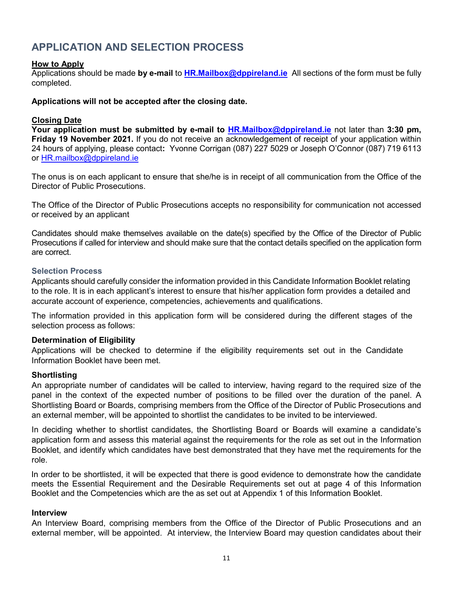# <span id="page-10-0"></span>**APPLICATION AND SELECTION PROCESS**

#### **How to Apply**

Applications should be made **by e-mail** to **[HR.Mailbox@dppireland.ie](mailto:Prosecutor2018@dppireland.ie)** All sections of the form must be fully completed.

#### **Applications will not be accepted after the closing date.**

#### **Closing Date**

**Your application must be submitted by e-mail to [HR.Mailbox@dppireland.ie](mailto:Prosecutor2018@dppireland.ie)** not later than **3:30 pm, Friday 19 November 2021.** If you do not receive an acknowledgement of receipt of your application within 24 hours of applying, please contact**:** Yvonne Corrigan (087) 227 5029 or Joseph O'Connor (087) 719 6113 or [HR.mailbox@dppireland.ie](mailto:HR.mailbox@dppireland.ie)

The onus is on each applicant to ensure that she/he is in receipt of all communication from the Office of the Director of Public Prosecutions.

The Office of the Director of Public Prosecutions accepts no responsibility for communication not accessed or received by an applicant

Candidates should make themselves available on the date(s) specified by the Office of the Director of Public Prosecutions if called for interview and should make sure that the contact details specified on the application form are correct.

#### <span id="page-10-1"></span>**Selection Process**

Applicants should carefully consider the information provided in this Candidate Information Booklet relating to the role. It is in each applicant's interest to ensure that his/her application form provides a detailed and accurate account of experience, competencies, achievements and qualifications.

The information provided in this application form will be considered during the different stages of the selection process as follows:

#### **Determination of Eligibility**

Applications will be checked to determine if the eligibility requirements set out in the Candidate Information Booklet have been met.

#### **Shortlisting**

An appropriate number of candidates will be called to interview, having regard to the required size of the panel in the context of the expected number of positions to be filled over the duration of the panel. A Shortlisting Board or Boards, comprising members from the Office of the Director of Public Prosecutions and an external member, will be appointed to shortlist the candidates to be invited to be interviewed.

In deciding whether to shortlist candidates, the Shortlisting Board or Boards will examine a candidate's application form and assess this material against the requirements for the role as set out in the Information Booklet, and identify which candidates have best demonstrated that they have met the requirements for the role.

In order to be shortlisted, it will be expected that there is good evidence to demonstrate how the candidate meets the Essential Requirement and the Desirable Requirements set out at page 4 of this Information Booklet and the Competencies which are the as set out at Appendix 1 of this Information Booklet.

#### **Interview**

An Interview Board, comprising members from the Office of the Director of Public Prosecutions and an external member, will be appointed. At interview, the Interview Board may question candidates about their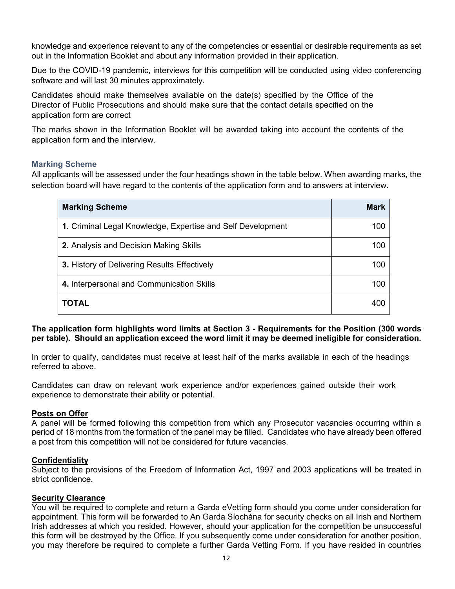knowledge and experience relevant to any of the competencies or essential or desirable requirements as set out in the Information Booklet and about any information provided in their application.

Due to the COVID-19 pandemic, interviews for this competition will be conducted using video conferencing software and will last 30 minutes approximately.

Candidates should make themselves available on the date(s) specified by the Office of the Director of Public Prosecutions and should make sure that the contact details specified on the application form are correct

The marks shown in the Information Booklet will be awarded taking into account the contents of the application form and the interview.

### <span id="page-11-0"></span>**Marking Scheme**

All applicants will be assessed under the four headings shown in the table below. When awarding marks, the selection board will have regard to the contents of the application form and to answers at interview.

| <b>Marking Scheme</b>                                       | Mark |
|-------------------------------------------------------------|------|
| 1. Criminal Legal Knowledge, Expertise and Self Development | 100  |
| 2. Analysis and Decision Making Skills                      | 100  |
| 3. History of Delivering Results Effectively                | 100  |
| 4. Interpersonal and Communication Skills                   | 100  |
| <b>TOTAL</b>                                                | 400  |

### **The application form highlights word limits at Section 3 - Requirements for the Position (300 words per table). Should an application exceed the word limit it may be deemed ineligible for consideration.**

In order to qualify, candidates must receive at least half of the marks available in each of the headings referred to above.

Candidates can draw on relevant work experience and/or experiences gained outside their work experience to demonstrate their ability or potential.

### **Posts on Offer**

A panel will be formed following this competition from which any Prosecutor vacancies occurring within a period of 18 months from the formation of the panel may be filled. Candidates who have already been offered a post from this competition will not be considered for future vacancies.

### **Confidentiality**

Subject to the provisions of the Freedom of Information Act, 1997 and 2003 applications will be treated in strict confidence.

### **Security Clearance**

You will be required to complete and return a Garda eVetting form should you come under consideration for appointment. This form will be forwarded to An Garda Síochána for security checks on all Irish and Northern Irish addresses at which you resided. However, should your application for the competition be unsuccessful this form will be destroyed by the Office. If you subsequently come under consideration for another position, you may therefore be required to complete a further Garda Vetting Form. If you have resided in countries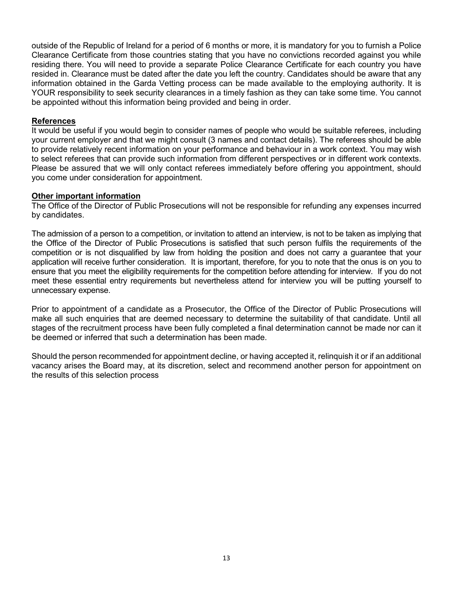outside of the Republic of Ireland for a period of 6 months or more, it is mandatory for you to furnish a Police Clearance Certificate from those countries stating that you have no convictions recorded against you while residing there. You will need to provide a separate Police Clearance Certificate for each country you have resided in. Clearance must be dated after the date you left the country. Candidates should be aware that any information obtained in the Garda Vetting process can be made available to the employing authority. It is YOUR responsibility to seek security clearances in a timely fashion as they can take some time. You cannot be appointed without this information being provided and being in order.

#### **References**

It would be useful if you would begin to consider names of people who would be suitable referees, including your current employer and that we might consult (3 names and contact details). The referees should be able to provide relatively recent information on your performance and behaviour in a work context. You may wish to select referees that can provide such information from different perspectives or in different work contexts. Please be assured that we will only contact referees immediately before offering you appointment, should you come under consideration for appointment.

#### **Other important information**

The Office of the Director of Public Prosecutions will not be responsible for refunding any expenses incurred by candidates.

The admission of a person to a competition, or invitation to attend an interview, is not to be taken as implying that the Office of the Director of Public Prosecutions is satisfied that such person fulfils the requirements of the competition or is not disqualified by law from holding the position and does not carry a guarantee that your application will receive further consideration. It is important, therefore, for you to note that the onus is on you to ensure that you meet the eligibility requirements for the competition before attending for interview. If you do not meet these essential entry requirements but nevertheless attend for interview you will be putting yourself to unnecessary expense.

Prior to appointment of a candidate as a Prosecutor, the Office of the Director of Public Prosecutions will make all such enquiries that are deemed necessary to determine the suitability of that candidate. Until all stages of the recruitment process have been fully completed a final determination cannot be made nor can it be deemed or inferred that such a determination has been made.

Should the person recommended for appointment decline, or having accepted it, relinquish it or if an additional vacancy arises the Board may, at its discretion, select and recommend another person for appointment on the results of this selection process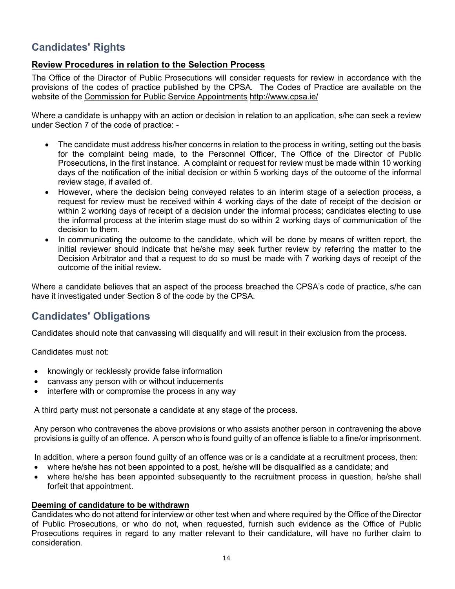# <span id="page-13-0"></span>**Candidates' Rights**

## **Review Procedures in relation to the Selection Process**

The Office of the Director of Public Prosecutions will consider requests for review in accordance with the provisions of the codes of practice published by the CPSA. The Codes of Practice are available on the website of the Commission for Public Service Appointments htt[p://www.cpsa.ie/](http://www.cpsa.ie/)

Where a candidate is unhappy with an action or decision in relation to an application, s/he can seek a review under Section 7 of the code of practice: -

- The candidate must address his/her concerns in relation to the process in writing, setting out the basis for the complaint being made, to the Personnel Officer, The Office of the Director of Public Prosecutions, in the first instance. A complaint or request for review must be made within 10 working days of the notification of the initial decision or within 5 working days of the outcome of the informal review stage, if availed of.
- However, where the decision being conveyed relates to an interim stage of a selection process, a request for review must be received within 4 working days of the date of receipt of the decision or within 2 working days of receipt of a decision under the informal process; candidates electing to use the informal process at the interim stage must do so within 2 working days of communication of the decision to them.
- In communicating the outcome to the candidate, which will be done by means of written report, the initial reviewer should indicate that he/she may seek further review by referring the matter to the Decision Arbitrator and that a request to do so must be made with 7 working days of receipt of the outcome of the initial review**.**

Where a candidate believes that an aspect of the process breached the CPSA's code of practice, s/he can have it investigated under Section 8 of the code by the CPSA.

# <span id="page-13-1"></span>**Candidates' Obligations**

Candidates should note that canvassing will disqualify and will result in their exclusion from the process.

Candidates must not:

- knowingly or recklessly provide false information
- canvass any person with or without inducements
- interfere with or compromise the process in any way

A third party must not personate a candidate at any stage of the process.

Any person who contravenes the above provisions or who assists another person in contravening the above provisions is guilty of an offence. A person who is found guilty of an offence is liable to a fine/or imprisonment.

In addition, where a person found guilty of an offence was or is a candidate at a recruitment process, then:

- where he/she has not been appointed to a post, he/she will be disqualified as a candidate; and
- where he/she has been appointed subsequently to the recruitment process in question, he/she shall forfeit that appointment.

### **Deeming of candidature to be withdrawn**

Candidates who do not attend for interview or other test when and where required by the Office of the Director of Public Prosecutions, or who do not, when requested, furnish such evidence as the Office of Public Prosecutions requires in regard to any matter relevant to their candidature, will have no further claim to consideration.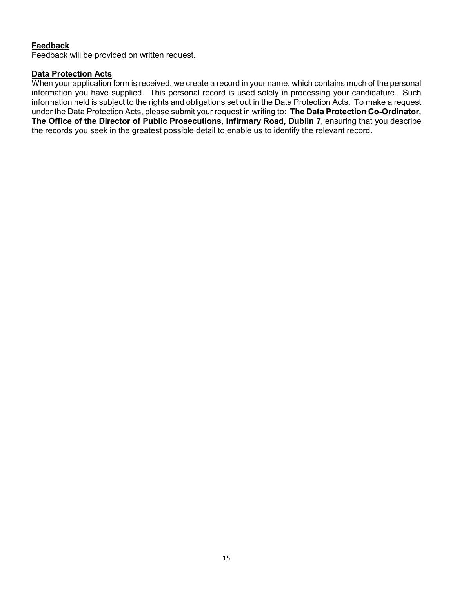## **Feedback**

Feedback will be provided on written request.

#### **Data Protection Acts**

When your application form is received, we create a record in your name, which contains much of the personal information you have supplied. This personal record is used solely in processing your candidature. Such information held is subject to the rights and obligations set out in the Data Protection Acts. To make a request under the Data Protection Acts, please submit your request in writing to: **The Data Protection Co-Ordinator, The Office of the Director of Public Prosecutions, Infirmary Road, Dublin 7**, ensuring that you describe the records you seek in the greatest possible detail to enable us to identify the relevant record**.**